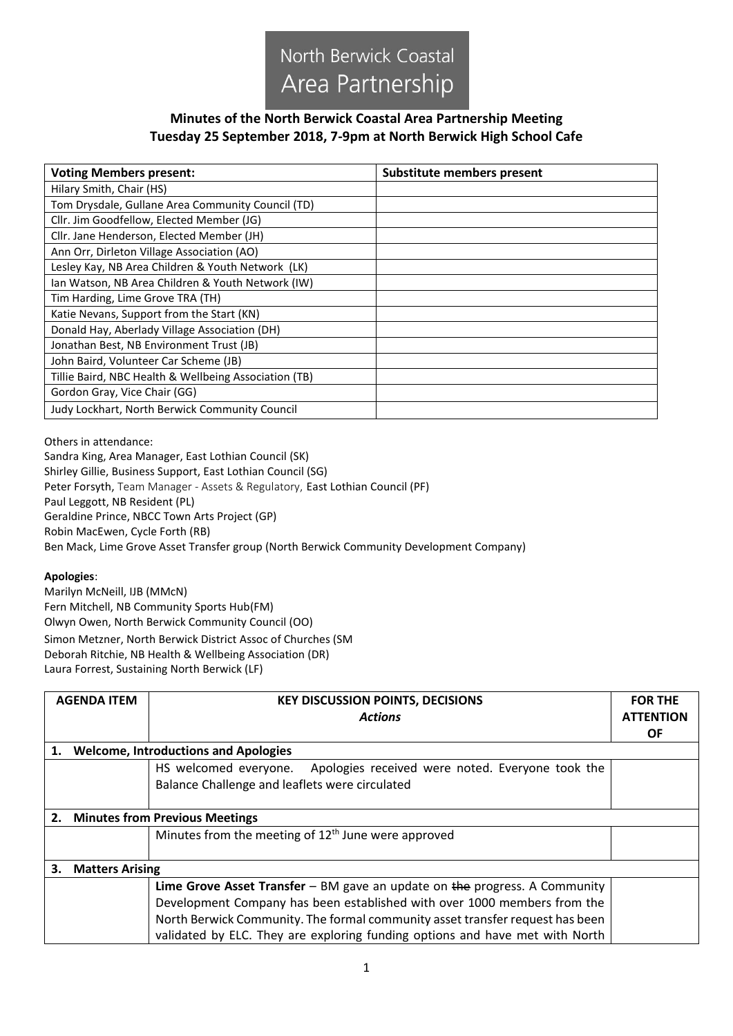

## **Minutes of the North Berwick Coastal Area Partnership Meeting Tuesday 25 September 2018, 7-9pm at North Berwick High School Cafe**

| <b>Voting Members present:</b>                        | Substitute members present |
|-------------------------------------------------------|----------------------------|
| Hilary Smith, Chair (HS)                              |                            |
| Tom Drysdale, Gullane Area Community Council (TD)     |                            |
| Cllr. Jim Goodfellow, Elected Member (JG)             |                            |
| Cllr. Jane Henderson, Elected Member (JH)             |                            |
| Ann Orr, Dirleton Village Association (AO)            |                            |
| Lesley Kay, NB Area Children & Youth Network (LK)     |                            |
| Ian Watson, NB Area Children & Youth Network (IW)     |                            |
| Tim Harding, Lime Grove TRA (TH)                      |                            |
| Katie Nevans, Support from the Start (KN)             |                            |
| Donald Hay, Aberlady Village Association (DH)         |                            |
| Jonathan Best, NB Environment Trust (JB)              |                            |
| John Baird, Volunteer Car Scheme (JB)                 |                            |
| Tillie Baird, NBC Health & Wellbeing Association (TB) |                            |
| Gordon Gray, Vice Chair (GG)                          |                            |
| <b>Judy Lockhart, North Berwick Community Council</b> |                            |

Others in attendance:

Sandra King, Area Manager, East Lothian Council (SK) Shirley Gillie, Business Support, East Lothian Council (SG) Peter Forsyth, Team Manager - Assets & Regulatory, East Lothian Council (PF) Paul Leggott, NB Resident (PL) Geraldine Prince, NBCC Town Arts Project (GP) Robin MacEwen, Cycle Forth (RB) Ben Mack, Lime Grove Asset Transfer group (North Berwick Community Development Company)

## **Apologies**:

Marilyn McNeill, IJB (MMcN) Fern Mitchell, NB Community Sports Hub(FM) Olwyn Owen, North Berwick Community Council (OO) Simon Metzner, North Berwick District Assoc of Churches (SM Deborah Ritchie, NB Health & Wellbeing Association (DR) Laura Forrest, Sustaining North Berwick (LF)

|    | <b>AGENDA ITEM</b>                          | <b>KEY DISCUSSION POINTS, DECISIONS</b>                                           | <b>FOR THE</b>   |  |  |
|----|---------------------------------------------|-----------------------------------------------------------------------------------|------------------|--|--|
|    |                                             | <b>Actions</b>                                                                    | <b>ATTENTION</b> |  |  |
|    |                                             |                                                                                   | <b>OF</b>        |  |  |
|    | <b>Welcome, Introductions and Apologies</b> |                                                                                   |                  |  |  |
|    |                                             | HS welcomed everyone. Apologies received were noted. Everyone took the            |                  |  |  |
|    |                                             | Balance Challenge and leaflets were circulated                                    |                  |  |  |
|    |                                             |                                                                                   |                  |  |  |
| 2. | <b>Minutes from Previous Meetings</b>       |                                                                                   |                  |  |  |
|    |                                             | Minutes from the meeting of $12th$ June were approved                             |                  |  |  |
|    |                                             |                                                                                   |                  |  |  |
| З. | <b>Matters Arising</b>                      |                                                                                   |                  |  |  |
|    |                                             | <b>Lime Grove Asset Transfer</b> – BM gave an update on the progress. A Community |                  |  |  |
|    |                                             | Development Company has been established with over 1000 members from the          |                  |  |  |
|    |                                             | North Berwick Community. The formal community asset transfer request has been     |                  |  |  |
|    |                                             | validated by ELC. They are exploring funding options and have met with North      |                  |  |  |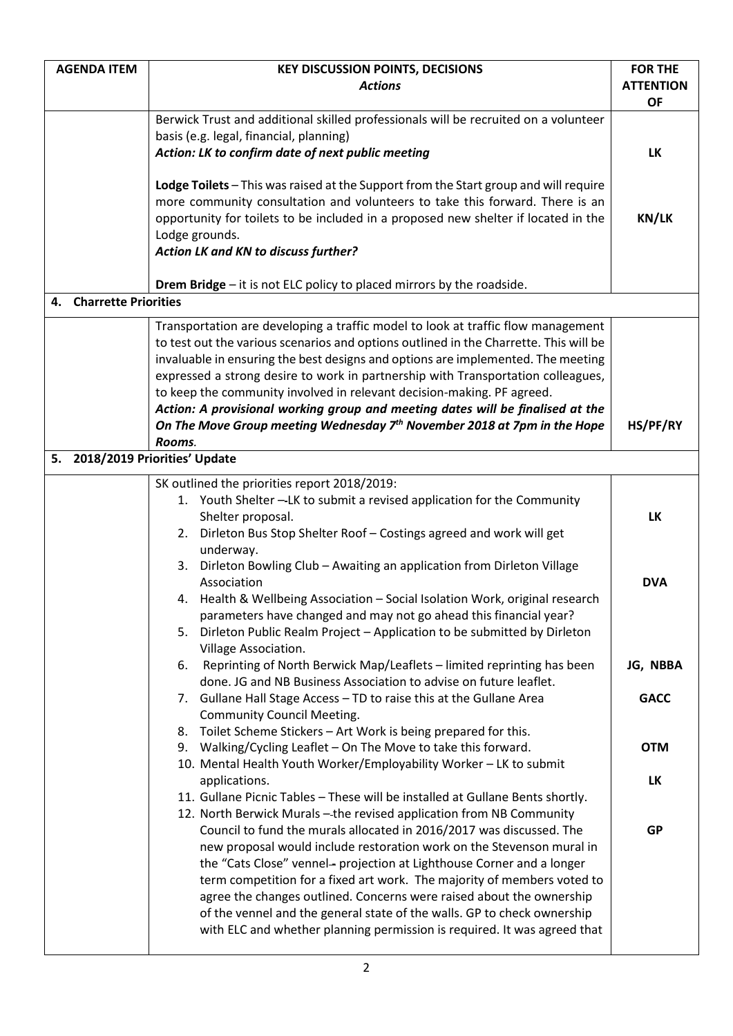| <b>AGENDA ITEM</b>      | <b>KEY DISCUSSION POINTS, DECISIONS</b>                                                        | <b>FOR THE</b>   |
|-------------------------|------------------------------------------------------------------------------------------------|------------------|
|                         | <b>Actions</b>                                                                                 | <b>ATTENTION</b> |
|                         |                                                                                                | <b>OF</b>        |
|                         | Berwick Trust and additional skilled professionals will be recruited on a volunteer            |                  |
|                         | basis (e.g. legal, financial, planning)                                                        |                  |
|                         | Action: LK to confirm date of next public meeting                                              | <b>LK</b>        |
|                         | Lodge Toilets - This was raised at the Support from the Start group and will require           |                  |
|                         | more community consultation and volunteers to take this forward. There is an                   |                  |
|                         | opportunity for toilets to be included in a proposed new shelter if located in the             | <b>KN/LK</b>     |
|                         | Lodge grounds.                                                                                 |                  |
|                         | Action LK and KN to discuss further?                                                           |                  |
|                         | Drem Bridge - it is not ELC policy to placed mirrors by the roadside.                          |                  |
| 4. Charrette Priorities |                                                                                                |                  |
|                         | Transportation are developing a traffic model to look at traffic flow management               |                  |
|                         | to test out the various scenarios and options outlined in the Charrette. This will be          |                  |
|                         | invaluable in ensuring the best designs and options are implemented. The meeting               |                  |
|                         | expressed a strong desire to work in partnership with Transportation colleagues,               |                  |
|                         | to keep the community involved in relevant decision-making. PF agreed.                         |                  |
|                         | Action: A provisional working group and meeting dates will be finalised at the                 |                  |
|                         | On The Move Group meeting Wednesday 7 <sup>th</sup> November 2018 at 7pm in the Hope           | HS/PF/RY         |
|                         | Rooms.                                                                                         |                  |
| 5.                      | 2018/2019 Priorities' Update                                                                   |                  |
|                         | SK outlined the priorities report 2018/2019:                                                   |                  |
|                         | 1. Youth Shelter -- LK to submit a revised application for the Community                       |                  |
|                         | Shelter proposal.                                                                              | <b>LK</b>        |
|                         | Dirleton Bus Stop Shelter Roof - Costings agreed and work will get<br>2.                       |                  |
|                         | underway.                                                                                      |                  |
|                         | Dirleton Bowling Club - Awaiting an application from Dirleton Village<br>3.<br>Association     |                  |
|                         | 4. Health & Wellbeing Association - Social Isolation Work, original research                   | <b>DVA</b>       |
|                         | parameters have changed and may not go ahead this financial year?                              |                  |
|                         | Dirleton Public Realm Project - Application to be submitted by Dirleton<br>5.                  |                  |
|                         | Village Association.                                                                           |                  |
|                         | Reprinting of North Berwick Map/Leaflets - limited reprinting has been<br>6.                   | JG, NBBA         |
|                         | done. JG and NB Business Association to advise on future leaflet.                              |                  |
|                         | 7. Gullane Hall Stage Access - TD to raise this at the Gullane Area                            | <b>GACC</b>      |
|                         | <b>Community Council Meeting.</b>                                                              |                  |
|                         | 8. Toilet Scheme Stickers - Art Work is being prepared for this.                               |                  |
|                         | Walking/Cycling Leaflet - On The Move to take this forward.<br>9.                              | <b>OTM</b>       |
|                         | 10. Mental Health Youth Worker/Employability Worker - LK to submit                             |                  |
|                         | applications.<br>11. Gullane Picnic Tables - These will be installed at Gullane Bents shortly. | LK               |
|                         | 12. North Berwick Murals - the revised application from NB Community                           |                  |
|                         | Council to fund the murals allocated in 2016/2017 was discussed. The                           | <b>GP</b>        |
|                         | new proposal would include restoration work on the Stevenson mural in                          |                  |
|                         | the "Cats Close" vennel- projection at Lighthouse Corner and a longer                          |                  |
|                         | term competition for a fixed art work. The majority of members voted to                        |                  |
|                         | agree the changes outlined. Concerns were raised about the ownership                           |                  |
|                         | of the vennel and the general state of the walls. GP to check ownership                        |                  |
|                         | with ELC and whether planning permission is required. It was agreed that                       |                  |